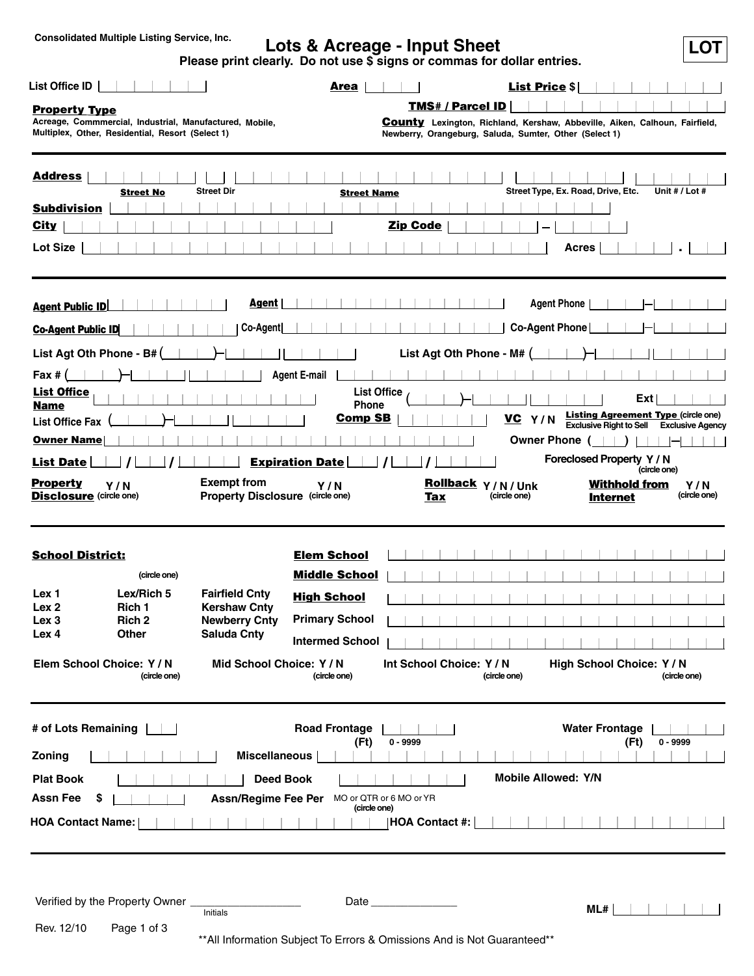# **LOT Consolidated Multiple Listing Service, Inc. Lots & Acreage - Input Sheet**

**Please print clearly. Do not use \$ signs or commas for dollar entries.**

|                                                                              |                                                                                                             |                                                                      | Area                                        |                         |                                                                                                                                                                        | <b>List Price \$</b>       |                    |                                         |      |                |                                                 |
|------------------------------------------------------------------------------|-------------------------------------------------------------------------------------------------------------|----------------------------------------------------------------------|---------------------------------------------|-------------------------|------------------------------------------------------------------------------------------------------------------------------------------------------------------------|----------------------------|--------------------|-----------------------------------------|------|----------------|-------------------------------------------------|
| <b>Property Type</b>                                                         | Acreage, Commmercial, Industrial, Manufactured, Mobile,<br>Multiplex, Other, Residential, Resort (Select 1) |                                                                      |                                             |                         | <b>TMS# / Parcel ID</b><br><b>County</b> Lexington, Richland, Kershaw, Abbeville, Aiken, Calhoun, Fairfield,<br>Newberry, Orangeburg, Saluda, Sumter, Other (Select 1) |                            |                    |                                         |      |                |                                                 |
| <b>Address</b><br><b>Subdivision</b><br><u>City</u><br><b>Lot Size</b>       | <b>Street No</b>                                                                                            | <b>Street Dir</b>                                                    | <b>Street Name</b>                          | <b>Zip Code</b>         |                                                                                                                                                                        |                            | <b>Acres</b>       | Street Type, Ex. Road, Drive, Etc.      |      | Unit # / Lot # |                                                 |
| <b>Agent Public ID</b>                                                       |                                                                                                             | Agent                                                                |                                             |                         |                                                                                                                                                                        |                            | <b>Agent Phone</b> |                                         |      |                |                                                 |
| <b>Co-Agent Public ID</b>                                                    |                                                                                                             | Co-Agent                                                             |                                             |                         |                                                                                                                                                                        |                            | Co-Agent Phone     |                                         |      |                |                                                 |
| List Agt Oth Phone - B# (                                                    |                                                                                                             |                                                                      |                                             |                         | List Agt Oth Phone - M# (                                                                                                                                              |                            |                    |                                         |      |                |                                                 |
| Fax $#$ (                                                                    |                                                                                                             |                                                                      | <b>Agent E-mail</b>                         |                         |                                                                                                                                                                        |                            |                    |                                         |      |                |                                                 |
| <b>List Office</b><br><b>Name</b><br><b>List Office Fax</b>                  |                                                                                                             |                                                                      | Phone<br><b>Comp SB</b>                     | <b>List Office</b>      |                                                                                                                                                                        | VC Y/N                     |                    |                                         | Ext  |                | <b>Listing Agreement Type (circle one)</b>      |
| <b>Owner Name</b>                                                            |                                                                                                             |                                                                      |                                             |                         |                                                                                                                                                                        |                            | Owner Phone (      |                                         |      |                | <b>Exclusive Right to Sell Exclusive Agency</b> |
| <b>List Date</b>                                                             |                                                                                                             |                                                                      | <b>Expiration Date</b>                      |                         |                                                                                                                                                                        |                            |                    | Foreclosed Property Y / N               |      | (circle one)   |                                                 |
| <b>Property</b><br><b>Disclosure</b> (circle one)                            | Y/N                                                                                                         | <b>Exempt from</b><br><b>Property Disclosure (circle one)</b>        | Y/N                                         |                         | Rollback Y/N/Unk<br>Tax                                                                                                                                                | (circle one)               |                    | <b>Withhold from</b><br><b>Internet</b> |      |                | Y/N<br>(circle one)                             |
| <b>School District:</b>                                                      |                                                                                                             |                                                                      | <b>Elem School</b>                          |                         |                                                                                                                                                                        |                            |                    |                                         |      |                |                                                 |
|                                                                              | (circle one)                                                                                                |                                                                      | <b>Middle School</b>                        |                         |                                                                                                                                                                        |                            |                    |                                         |      |                |                                                 |
| Lex 1<br>Lex 2<br>Lex <sub>3</sub>                                           | Lex/Rich 5<br>Rich 1<br>Rich 2                                                                              | <b>Fairfield Cnty</b><br><b>Kershaw Cnty</b><br><b>Newberry Cnty</b> | <b>High School</b><br><b>Primary School</b> |                         |                                                                                                                                                                        |                            |                    |                                         |      |                |                                                 |
| Lex 4                                                                        | <b>Other</b>                                                                                                | <b>Saluda Cnty</b>                                                   | <b>Intermed School</b>                      |                         |                                                                                                                                                                        |                            |                    |                                         |      |                |                                                 |
|                                                                              | Elem School Choice: Y / N<br>(circle one)                                                                   | Mid School Choice: Y / N                                             | (circle one)                                |                         | Int School Choice: Y / N                                                                                                                                               | (circle one)               |                    | High School Choice: Y / N               |      | (circle one)   |                                                 |
|                                                                              |                                                                                                             |                                                                      |                                             |                         |                                                                                                                                                                        |                            |                    |                                         |      |                |                                                 |
|                                                                              |                                                                                                             |                                                                      | <b>Road Frontage</b><br>(Ft)                | $0 - 9999$              |                                                                                                                                                                        |                            |                    | <b>Water Frontage</b>                   | (Ft) | $0 - 9999$     |                                                 |
|                                                                              |                                                                                                             | <b>Miscellaneous</b>                                                 |                                             |                         |                                                                                                                                                                        |                            |                    |                                         |      |                |                                                 |
| <b>Plat Book</b>                                                             | \$                                                                                                          | <b>Deed Book</b><br><b>Assn/Regime Fee Per</b>                       |                                             | MO or QTR or 6 MO or YR |                                                                                                                                                                        | <b>Mobile Allowed: Y/N</b> |                    |                                         |      |                |                                                 |
| # of Lots Remaining<br>Zoning<br><b>Assn Fee</b><br><b>HOA Contact Name:</b> |                                                                                                             |                                                                      | (circle one)                                |                         | <b>HOA Contact #:</b>                                                                                                                                                  |                            |                    |                                         |      |                |                                                 |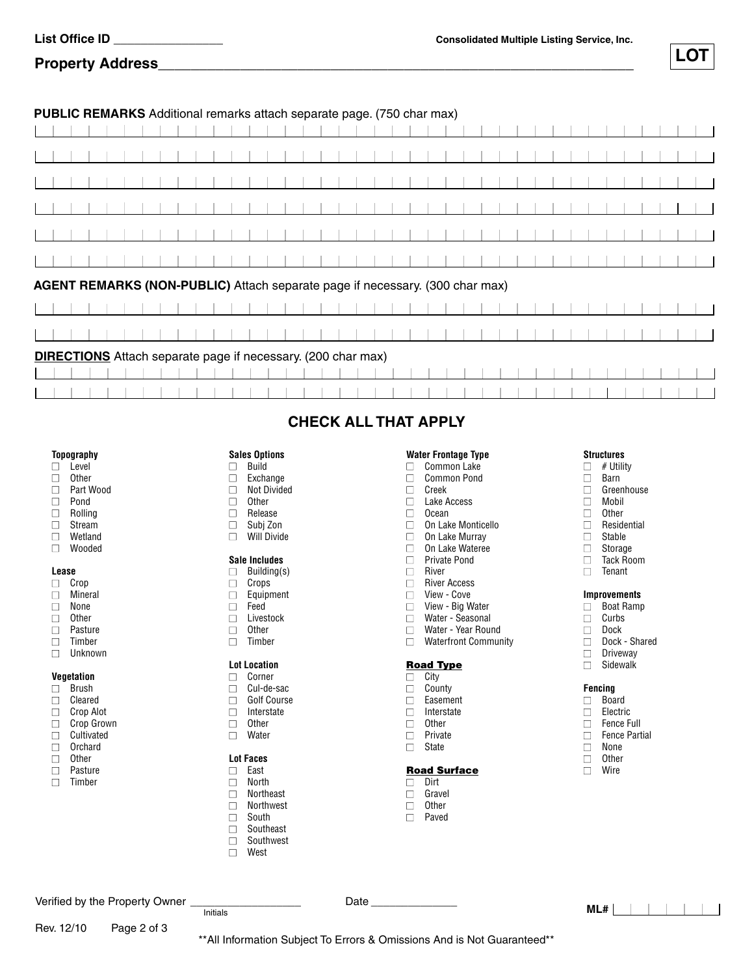**Property Address\_\_\_\_\_\_\_\_\_\_\_\_\_\_\_\_\_\_\_\_\_\_\_\_\_\_\_\_\_\_\_\_\_\_\_\_\_\_\_\_\_\_\_\_\_\_\_\_\_\_\_\_\_\_\_\_\_\_**

# **PUBLIC REMARKS** Additional remarks attach separate page. (750 char max)

|  |  |  |                                                                              |  |  |  |  |  |  | - r-9 - 1. - |  |  |  | $\cdots$ |  |  |  |  |  |  |  |  |  |
|--|--|--|------------------------------------------------------------------------------|--|--|--|--|--|--|--------------|--|--|--|----------|--|--|--|--|--|--|--|--|--|
|  |  |  |                                                                              |  |  |  |  |  |  |              |  |  |  |          |  |  |  |  |  |  |  |  |  |
|  |  |  |                                                                              |  |  |  |  |  |  |              |  |  |  |          |  |  |  |  |  |  |  |  |  |
|  |  |  |                                                                              |  |  |  |  |  |  |              |  |  |  |          |  |  |  |  |  |  |  |  |  |
|  |  |  |                                                                              |  |  |  |  |  |  |              |  |  |  |          |  |  |  |  |  |  |  |  |  |
|  |  |  |                                                                              |  |  |  |  |  |  |              |  |  |  |          |  |  |  |  |  |  |  |  |  |
|  |  |  |                                                                              |  |  |  |  |  |  |              |  |  |  |          |  |  |  |  |  |  |  |  |  |
|  |  |  |                                                                              |  |  |  |  |  |  |              |  |  |  |          |  |  |  |  |  |  |  |  |  |
|  |  |  |                                                                              |  |  |  |  |  |  |              |  |  |  |          |  |  |  |  |  |  |  |  |  |
|  |  |  |                                                                              |  |  |  |  |  |  |              |  |  |  |          |  |  |  |  |  |  |  |  |  |
|  |  |  |                                                                              |  |  |  |  |  |  |              |  |  |  |          |  |  |  |  |  |  |  |  |  |
|  |  |  |                                                                              |  |  |  |  |  |  |              |  |  |  |          |  |  |  |  |  |  |  |  |  |
|  |  |  |                                                                              |  |  |  |  |  |  |              |  |  |  |          |  |  |  |  |  |  |  |  |  |
|  |  |  | AGENT REMARKS (NON-PUBLIC) Attach separate page if necessary. (300 char max) |  |  |  |  |  |  |              |  |  |  |          |  |  |  |  |  |  |  |  |  |
|  |  |  |                                                                              |  |  |  |  |  |  |              |  |  |  |          |  |  |  |  |  |  |  |  |  |
|  |  |  |                                                                              |  |  |  |  |  |  |              |  |  |  |          |  |  |  |  |  |  |  |  |  |
|  |  |  |                                                                              |  |  |  |  |  |  |              |  |  |  |          |  |  |  |  |  |  |  |  |  |
|  |  |  |                                                                              |  |  |  |  |  |  |              |  |  |  |          |  |  |  |  |  |  |  |  |  |
|  |  |  | <b>DIRECTIONS</b> Attach separate page if necessary. (200 char max)          |  |  |  |  |  |  |              |  |  |  |          |  |  |  |  |  |  |  |  |  |
|  |  |  |                                                                              |  |  |  |  |  |  |              |  |  |  |          |  |  |  |  |  |  |  |  |  |
|  |  |  |                                                                              |  |  |  |  |  |  |              |  |  |  |          |  |  |  |  |  |  |  |  |  |
|  |  |  |                                                                              |  |  |  |  |  |  |              |  |  |  |          |  |  |  |  |  |  |  |  |  |

## **Topography**

## **■** Level **■** Other

- **■** Part Wood
- **■** Pond
- **■** Rolling
- **■** Stream
- **■** Wetland
- **■** Wooded

## **Lease**

- **■** Crop
- **■** Mineral
- **■** None
- **■** Other **■** Pasture
- **■** Timber
- **■** Unknown

# **Vegetation**

- **■** Brush
- **■** Cleared
- **■** Crop Alot
- **■** Crop Grown **■** Cultivated
- **■** Orchard
- **■** Other
- **■** Pasture
- **■** Timber

Rev. 12/10 Page 2 of 3

# **CHECK ALL THAT APPLY**

- **Sales Options ■** Build
- **■** Exchange **■** Not Divided
- **■** Other
- **■** Release
- 
- **■** Subj Zon **■** Will Divide
- **Sale Includes**
- **■** Building(s)
- **■** Crops
- **■** Equipment
- **■** Feed **■** Livestock
- **■** Other
- **■** Timber

## **Lot Location**

- **■** Corner
- **■** Cul-de-sac **■** Golf Course
- **■** Interstate
- **■** Other
- **■** Water

# **Lot Faces**

- **■** East **■** North
- **■** Northeast
- **■** Northwest
- **■** South
- **■** Southeast
- **■** Southwest
- **■** West

Verified by the Property Owner  $\frac{1}{\text{Initials}}$  Date

## **Water Frontage Type**

- **■** Common Lake
- **■** Common Pond
- **■** Creek
- **■** Lake Access
- **■** Ocean
- **■** On Lake Monticello
- **■** On Lake Murray
- **■** On Lake Wateree
- **■** Private Pond
- **■** River
- **■** River Access
- **■** View Cove
- **■** View Big Water
- **■** Water Seasonal
- **■** Water Year Round
- **■** Waterfront Community

## **Road Type**

- **■** City **■** County **■** Easement **■** Interstate
- **■** Other
- **■** Private
- **■** State

# **Road Surface**

- **■** Dirt
- **■** Gravel
- **■** Other
- **■** Paved

Initials **ML#**

\*\*All Information Subject To Errors & Omissions And is Not Guaranteed\*\*

## **Structures**

- **■** # Utility
- **■** Barn
- **■** Greenhouse
- **■** Mobil
- **■** Other
- **■** Residential
- **■** Stable
- **■** Storage
- **■** Tack Room **■** Tenant

## **Improvements**

- **■** Boat Ramp
- **■** Curbs
- **■** Dock

**■** Driveway **■** Sidewalk

**Fencing ■** Board **■** Electric **■** Fence Full **■** Fence Partial **■** None **■** Other **■** Wire

**■** Dock - Shared